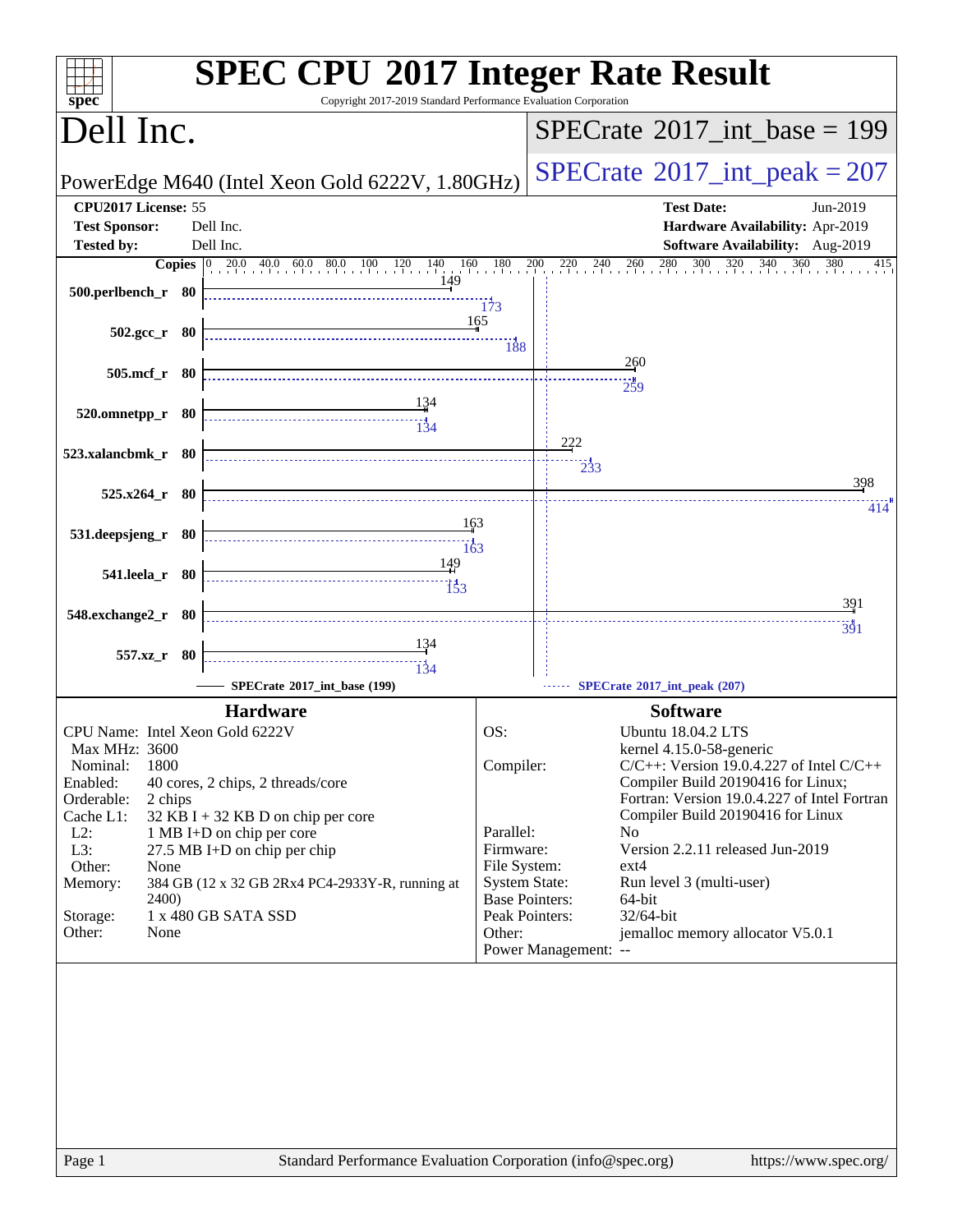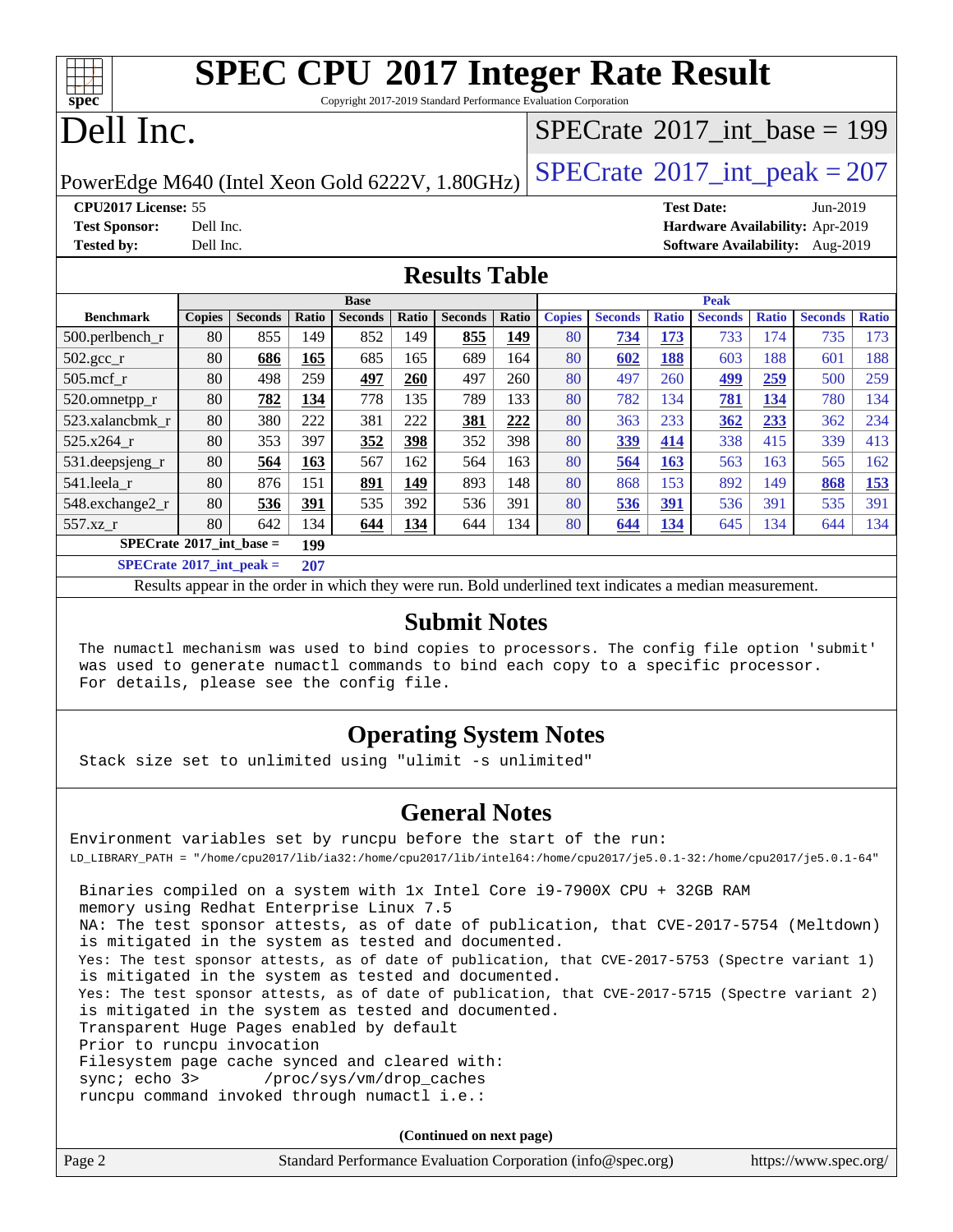# **[SPEC CPU](http://www.spec.org/auto/cpu2017/Docs/result-fields.html#SPECCPU2017IntegerRateResult)[2017 Integer Rate Result](http://www.spec.org/auto/cpu2017/Docs/result-fields.html#SPECCPU2017IntegerRateResult)**

Copyright 2017-2019 Standard Performance Evaluation Corporation

# Dell Inc.

**[spec](http://www.spec.org/)**

## $SPECrate$ <sup>®</sup>[2017\\_int\\_base =](http://www.spec.org/auto/cpu2017/Docs/result-fields.html#SPECrate2017intbase) 199

PowerEdge M640 (Intel Xeon Gold 6222V,  $1.80GHz$ ) [SPECrate](http://www.spec.org/auto/cpu2017/Docs/result-fields.html#SPECrate2017intpeak)<sup>®</sup>[2017\\_int\\_peak = 2](http://www.spec.org/auto/cpu2017/Docs/result-fields.html#SPECrate2017intpeak)07

**[CPU2017 License:](http://www.spec.org/auto/cpu2017/Docs/result-fields.html#CPU2017License)** 55 **[Test Date:](http://www.spec.org/auto/cpu2017/Docs/result-fields.html#TestDate)** Jun-2019 **[Test Sponsor:](http://www.spec.org/auto/cpu2017/Docs/result-fields.html#TestSponsor)** Dell Inc. **[Hardware Availability:](http://www.spec.org/auto/cpu2017/Docs/result-fields.html#HardwareAvailability)** Apr-2019

**[Tested by:](http://www.spec.org/auto/cpu2017/Docs/result-fields.html#Testedby)** Dell Inc. **[Software Availability:](http://www.spec.org/auto/cpu2017/Docs/result-fields.html#SoftwareAvailability)** Aug-2019

### **[Results Table](http://www.spec.org/auto/cpu2017/Docs/result-fields.html#ResultsTable)**

|                                                                                                     | <b>Base</b>                              |                |                      |                | <b>Peak</b> |                |       |               |                |              |                |              |                |              |
|-----------------------------------------------------------------------------------------------------|------------------------------------------|----------------|----------------------|----------------|-------------|----------------|-------|---------------|----------------|--------------|----------------|--------------|----------------|--------------|
| <b>Benchmark</b>                                                                                    | <b>Copies</b>                            | <b>Seconds</b> | Ratio                | <b>Seconds</b> | Ratio       | <b>Seconds</b> | Ratio | <b>Copies</b> | <b>Seconds</b> | <b>Ratio</b> | <b>Seconds</b> | <b>Ratio</b> | <b>Seconds</b> | <b>Ratio</b> |
| 500.perlbench_r                                                                                     | 80                                       | 855            | 149                  | 852            | 149         | 855            | 149   | 80            | 734            | 173          | 733            | 174          | 735            | 173          |
| $502.\text{gcc}$ _r                                                                                 | 80                                       | 686            | 165                  | 685            | 165         | 689            | 164   | 80            | 602            | 188          | 603            | 188          | 601            | 188          |
| $505$ .mcf r                                                                                        | 80                                       | 498            | 259                  | 497            | 260         | 497            | 260   | 80            | 497            | 260          | 499            | 259          | 500            | 259          |
| 520.omnetpp_r                                                                                       | 80                                       | 782            | 134                  | 778            | 135         | 789            | 133   | 80            | 782            | 134          | 781            | 134          | 780            | 134          |
| 523.xalancbmk r                                                                                     | 80                                       | 380            | 222                  | 381            | 222         | 381            | 222   | 80            | 363            | 233          | 362            | 233          | 362            | 234          |
| 525.x264 r                                                                                          | 80                                       | 353            | 397                  | 352            | 398         | 352            | 398   | 80            | 339            | 414          | 338            | 415          | 339            | 413          |
| $531.$ deepsjeng $_r$                                                                               | 80                                       | 564            | 163                  | 567            | 162         | 564            | 163   | 80            | 564            | 163          | 563            | 163          | 565            | 162          |
| 541.leela r                                                                                         | 80                                       | 876            | 151                  | 891            | 149         | 893            | 148   | 80            | 868            | 153          | 892            | 149          | 868            | <u>153</u>   |
| 548.exchange2_r                                                                                     | 80                                       | 536            | 391                  | 535            | 392         | 536            | 391   | 80            | 536            | 391          | 536            | 391          | 535            | 391          |
| 557.xz r                                                                                            | 80                                       | 642            | 134                  | 644            | 134         | 644            | 134   | 80            | 644            | <u>134</u>   | 645            | 134          | 644            | 134          |
|                                                                                                     | $SPECrate^{\circ}2017$ int base =<br>199 |                |                      |                |             |                |       |               |                |              |                |              |                |              |
| $C1$ $A0$ $A1$ $A2$ $A3$ $A4$ $A5$ $A6$ $A7$ $A8$ $A9$ $A1$ $A1$ $A2$ $A3$ $A1$ $A2$ $A3$ $A1$ $A2$ |                                          |                | $\sim$ $\sim$ $\sim$ |                |             |                |       |               |                |              |                |              |                |              |

**[SPECrate](http://www.spec.org/auto/cpu2017/Docs/result-fields.html#SPECrate2017intpeak)[2017\\_int\\_peak =](http://www.spec.org/auto/cpu2017/Docs/result-fields.html#SPECrate2017intpeak) 207**

Results appear in the [order in which they were run](http://www.spec.org/auto/cpu2017/Docs/result-fields.html#RunOrder). Bold underlined text [indicates a median measurement](http://www.spec.org/auto/cpu2017/Docs/result-fields.html#Median).

### **[Submit Notes](http://www.spec.org/auto/cpu2017/Docs/result-fields.html#SubmitNotes)**

 The numactl mechanism was used to bind copies to processors. The config file option 'submit' was used to generate numactl commands to bind each copy to a specific processor. For details, please see the config file.

### **[Operating System Notes](http://www.spec.org/auto/cpu2017/Docs/result-fields.html#OperatingSystemNotes)**

Stack size set to unlimited using "ulimit -s unlimited"

### **[General Notes](http://www.spec.org/auto/cpu2017/Docs/result-fields.html#GeneralNotes)**

Environment variables set by runcpu before the start of the run: LD\_LIBRARY\_PATH = "/home/cpu2017/lib/ia32:/home/cpu2017/lib/intel64:/home/cpu2017/je5.0.1-32:/home/cpu2017/je5.0.1-64" Binaries compiled on a system with 1x Intel Core i9-7900X CPU + 32GB RAM memory using Redhat Enterprise Linux 7.5 NA: The test sponsor attests, as of date of publication, that CVE-2017-5754 (Meltdown) is mitigated in the system as tested and documented. Yes: The test sponsor attests, as of date of publication, that CVE-2017-5753 (Spectre variant 1) is mitigated in the system as tested and documented. Yes: The test sponsor attests, as of date of publication, that CVE-2017-5715 (Spectre variant 2) is mitigated in the system as tested and documented. Transparent Huge Pages enabled by default Prior to runcpu invocation Filesystem page cache synced and cleared with: sync; echo 3> /proc/sys/vm/drop\_caches runcpu command invoked through numactl i.e.:

**(Continued on next page)**

| Page 2 | Standard Performance Evaluation Corporation (info@spec.org) | https://www.spec.org/ |
|--------|-------------------------------------------------------------|-----------------------|
|--------|-------------------------------------------------------------|-----------------------|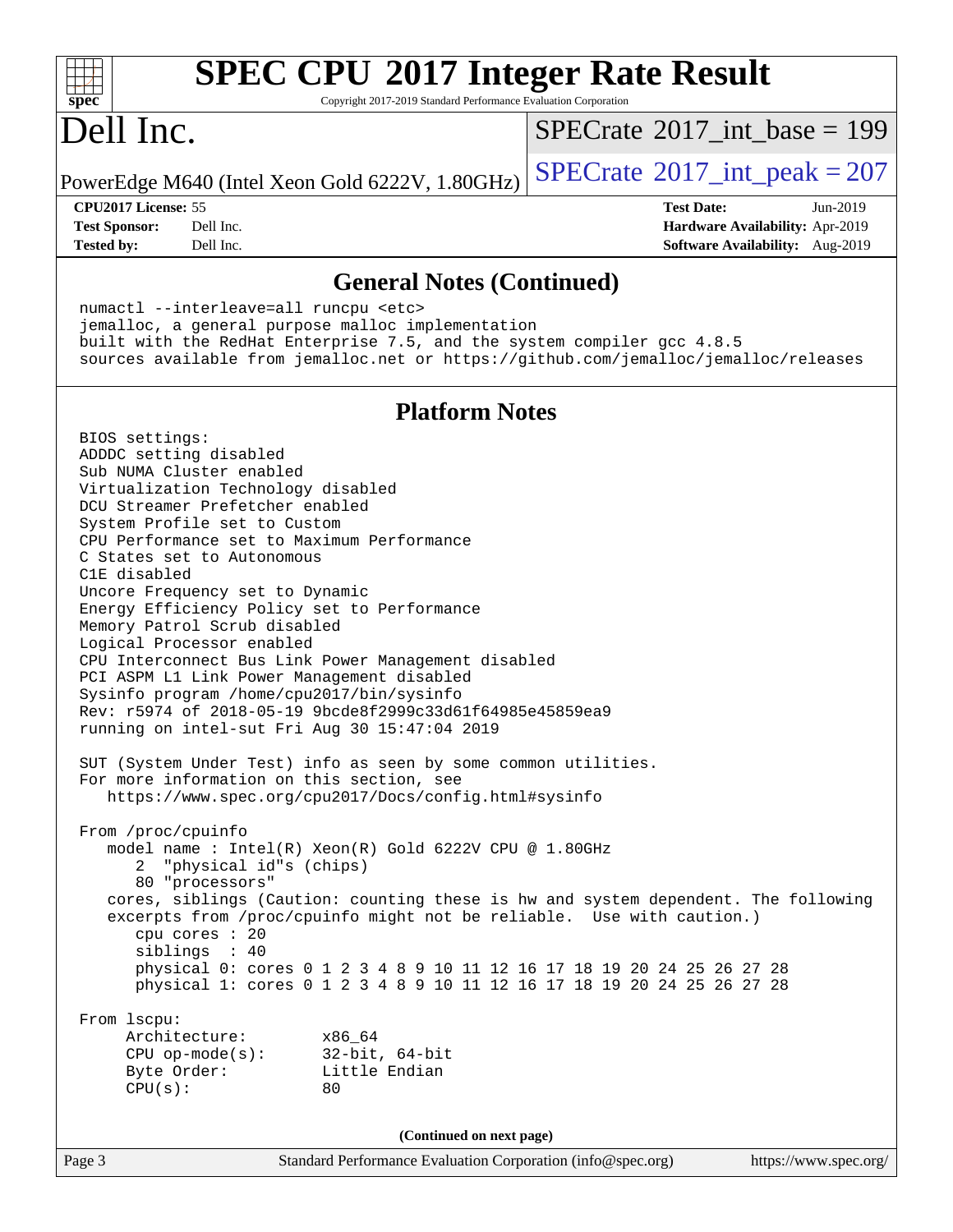### **[SPEC CPU](http://www.spec.org/auto/cpu2017/Docs/result-fields.html#SPECCPU2017IntegerRateResult)[2017 Integer Rate Result](http://www.spec.org/auto/cpu2017/Docs/result-fields.html#SPECCPU2017IntegerRateResult)**  $+\ +$ **[spec](http://www.spec.org/)** Copyright 2017-2019 Standard Performance Evaluation Corporation Dell Inc.  $SPECTate$ <sup>®</sup>[2017\\_int\\_base =](http://www.spec.org/auto/cpu2017/Docs/result-fields.html#SPECrate2017intbase) 199 PowerEdge M640 (Intel Xeon Gold 6222V,  $1.80GHz$ ) [SPECrate](http://www.spec.org/auto/cpu2017/Docs/result-fields.html#SPECrate2017intpeak)<sup>®</sup>[2017\\_int\\_peak = 2](http://www.spec.org/auto/cpu2017/Docs/result-fields.html#SPECrate2017intpeak)07 **[CPU2017 License:](http://www.spec.org/auto/cpu2017/Docs/result-fields.html#CPU2017License)** 55 **[Test Date:](http://www.spec.org/auto/cpu2017/Docs/result-fields.html#TestDate)** Jun-2019 **[Test Sponsor:](http://www.spec.org/auto/cpu2017/Docs/result-fields.html#TestSponsor)** Dell Inc. **[Hardware Availability:](http://www.spec.org/auto/cpu2017/Docs/result-fields.html#HardwareAvailability)** Apr-2019 **[Tested by:](http://www.spec.org/auto/cpu2017/Docs/result-fields.html#Testedby)** Dell Inc. **[Software Availability:](http://www.spec.org/auto/cpu2017/Docs/result-fields.html#SoftwareAvailability)** Aug-2019 **[General Notes \(Continued\)](http://www.spec.org/auto/cpu2017/Docs/result-fields.html#GeneralNotes)** numactl --interleave=all runcpu <etc> jemalloc, a general purpose malloc implementation built with the RedHat Enterprise 7.5, and the system compiler gcc 4.8.5 sources available from jemalloc.net or <https://github.com/jemalloc/jemalloc/releases> **[Platform Notes](http://www.spec.org/auto/cpu2017/Docs/result-fields.html#PlatformNotes)** BIOS settings: ADDDC setting disabled Sub NUMA Cluster enabled Virtualization Technology disabled DCU Streamer Prefetcher enabled System Profile set to Custom CPU Performance set to Maximum Performance C States set to Autonomous C1E disabled Uncore Frequency set to Dynamic Energy Efficiency Policy set to Performance Memory Patrol Scrub disabled Logical Processor enabled CPU Interconnect Bus Link Power Management disabled PCI ASPM L1 Link Power Management disabled Sysinfo program /home/cpu2017/bin/sysinfo Rev: r5974 of 2018-05-19 9bcde8f2999c33d61f64985e45859ea9 running on intel-sut Fri Aug 30 15:47:04 2019 SUT (System Under Test) info as seen by some common utilities. For more information on this section, see <https://www.spec.org/cpu2017/Docs/config.html#sysinfo> From /proc/cpuinfo model name : Intel(R) Xeon(R) Gold 6222V CPU @ 1.80GHz 2 "physical id"s (chips) 80 "processors" cores, siblings (Caution: counting these is hw and system dependent. The following excerpts from /proc/cpuinfo might not be reliable. Use with caution.) cpu cores : 20 siblings : 40 physical 0: cores 0 1 2 3 4 8 9 10 11 12 16 17 18 19 20 24 25 26 27 28 physical 1: cores 0 1 2 3 4 8 9 10 11 12 16 17 18 19 20 24 25 26 27 28 From lscpu: Architecture: x86\_64 CPU op-mode(s): 32-bit, 64-bit Byte Order: Little Endian  $CPU(s):$  80 **(Continued on next page)**Page 3 Standard Performance Evaluation Corporation [\(info@spec.org\)](mailto:info@spec.org) <https://www.spec.org/>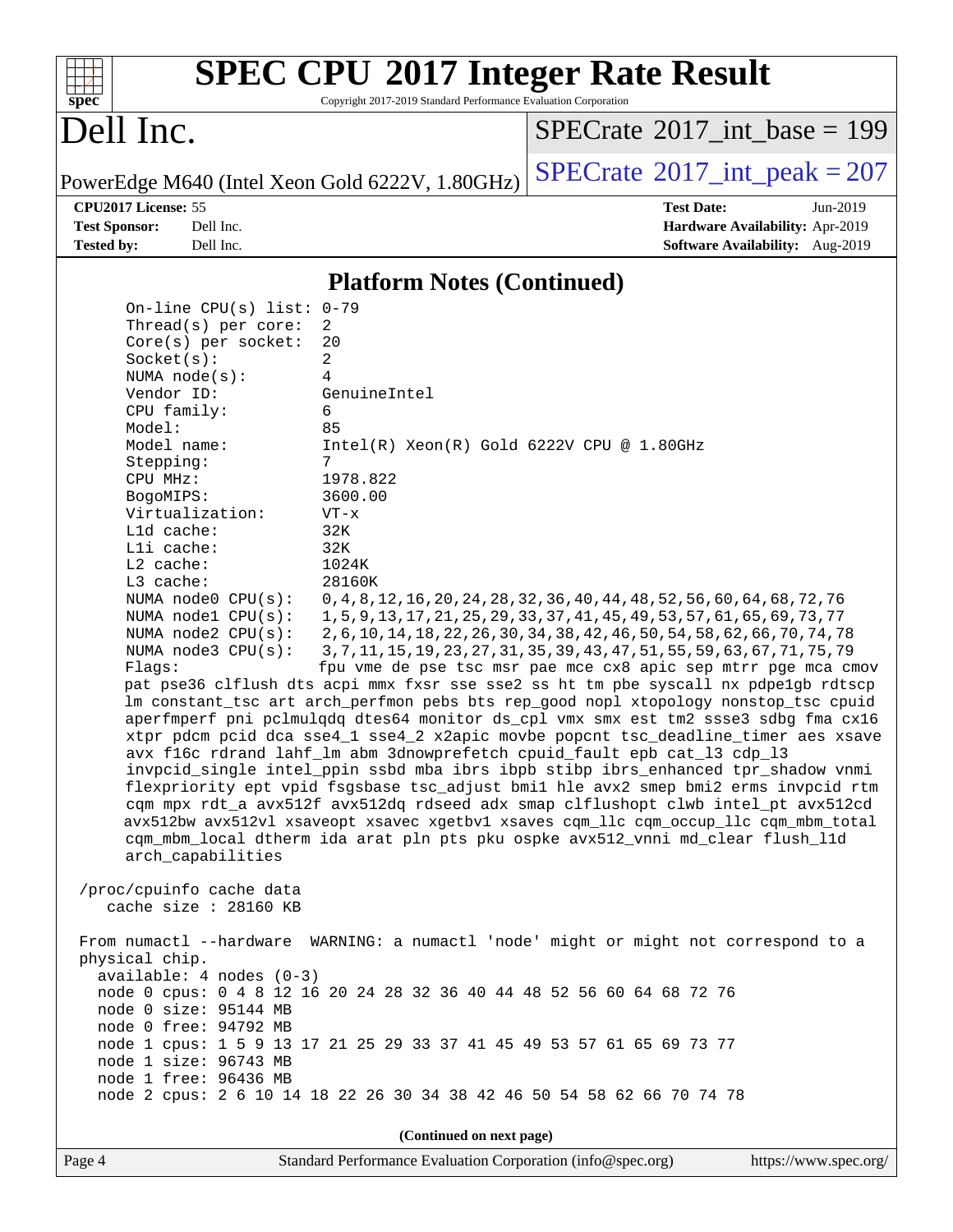| s<br>÷, | n | æ | ¢ |  |
|---------|---|---|---|--|

# **[SPEC CPU](http://www.spec.org/auto/cpu2017/Docs/result-fields.html#SPECCPU2017IntegerRateResult)[2017 Integer Rate Result](http://www.spec.org/auto/cpu2017/Docs/result-fields.html#SPECCPU2017IntegerRateResult)**

Copyright 2017-2019 Standard Performance Evaluation Corporation

# Dell Inc.

 $SPECTate@2017_int\_base = 199$ 

PowerEdge M640 (Intel Xeon Gold 6222V,  $1.80GHz$ ) [SPECrate](http://www.spec.org/auto/cpu2017/Docs/result-fields.html#SPECrate2017intpeak)<sup>®</sup>[2017\\_int\\_peak = 2](http://www.spec.org/auto/cpu2017/Docs/result-fields.html#SPECrate2017intpeak)07

**[CPU2017 License:](http://www.spec.org/auto/cpu2017/Docs/result-fields.html#CPU2017License)** 55 **[Test Date:](http://www.spec.org/auto/cpu2017/Docs/result-fields.html#TestDate)** Jun-2019 **[Test Sponsor:](http://www.spec.org/auto/cpu2017/Docs/result-fields.html#TestSponsor)** Dell Inc. **[Hardware Availability:](http://www.spec.org/auto/cpu2017/Docs/result-fields.html#HardwareAvailability)** Apr-2019 **[Tested by:](http://www.spec.org/auto/cpu2017/Docs/result-fields.html#Testedby)** Dell Inc. **[Software Availability:](http://www.spec.org/auto/cpu2017/Docs/result-fields.html#SoftwareAvailability)** Aug-2019

### **[Platform Notes \(Continued\)](http://www.spec.org/auto/cpu2017/Docs/result-fields.html#PlatformNotes)**

 On-line CPU(s) list: 0-79 Thread(s) per core: 2 Core(s) per socket: 20 Socket(s): 2 NUMA node(s): 4 Vendor ID: GenuineIntel CPU family: 6 Model: 85 Model name: Intel(R) Xeon(R) Gold 6222V CPU @ 1.80GHz Stepping: 7 CPU MHz: 1978.822 BogoMIPS: 3600.00 Virtualization: VT-x L1d cache: 32K L1i cache: 32K L2 cache: 1024K L3 cache: 28160K NUMA node0 CPU(s): 0,4,8,12,16,20,24,28,32,36,40,44,48,52,56,60,64,68,72,76 NUMA node1 CPU(s): 1,5,9,13,17,21,25,29,33,37,41,45,49,53,57,61,65,69,73,77 NUMA node2 CPU(s): 2,6,10,14,18,22,26,30,34,38,42,46,50,54,58,62,66,70,74,78 NUMA node3 CPU(s): 3,7,11,15,19,23,27,31,35,39,43,47,51,55,59,63,67,71,75,79 Flags: fpu vme de pse tsc msr pae mce cx8 apic sep mtrr pge mca cmov pat pse36 clflush dts acpi mmx fxsr sse sse2 ss ht tm pbe syscall nx pdpe1gb rdtscp lm constant\_tsc art arch\_perfmon pebs bts rep\_good nopl xtopology nonstop\_tsc cpuid aperfmperf pni pclmulqdq dtes64 monitor ds\_cpl vmx smx est tm2 ssse3 sdbg fma cx16 xtpr pdcm pcid dca sse4\_1 sse4\_2 x2apic movbe popcnt tsc\_deadline\_timer aes xsave avx f16c rdrand lahf\_lm abm 3dnowprefetch cpuid\_fault epb cat\_l3 cdp\_l3 invpcid\_single intel\_ppin ssbd mba ibrs ibpb stibp ibrs\_enhanced tpr\_shadow vnmi flexpriority ept vpid fsgsbase tsc\_adjust bmi1 hle avx2 smep bmi2 erms invpcid rtm cqm mpx rdt\_a avx512f avx512dq rdseed adx smap clflushopt clwb intel\_pt avx512cd avx512bw avx512vl xsaveopt xsavec xgetbv1 xsaves cqm\_llc cqm\_occup\_llc cqm\_mbm\_total cqm\_mbm\_local dtherm ida arat pln pts pku ospke avx512\_vnni md\_clear flush\_l1d arch\_capabilities /proc/cpuinfo cache data cache size : 28160 KB From numactl --hardware WARNING: a numactl 'node' might or might not correspond to a physical chip. available: 4 nodes (0-3) node 0 cpus: 0 4 8 12 16 20 24 28 32 36 40 44 48 52 56 60 64 68 72 76 node 0 size: 95144 MB node 0 free: 94792 MB node 1 cpus: 1 5 9 13 17 21 25 29 33 37 41 45 49 53 57 61 65 69 73 77 node 1 size: 96743 MB node 1 free: 96436 MB node 2 cpus: 2 6 10 14 18 22 26 30 34 38 42 46 50 54 58 62 66 70 74 78 **(Continued on next page)**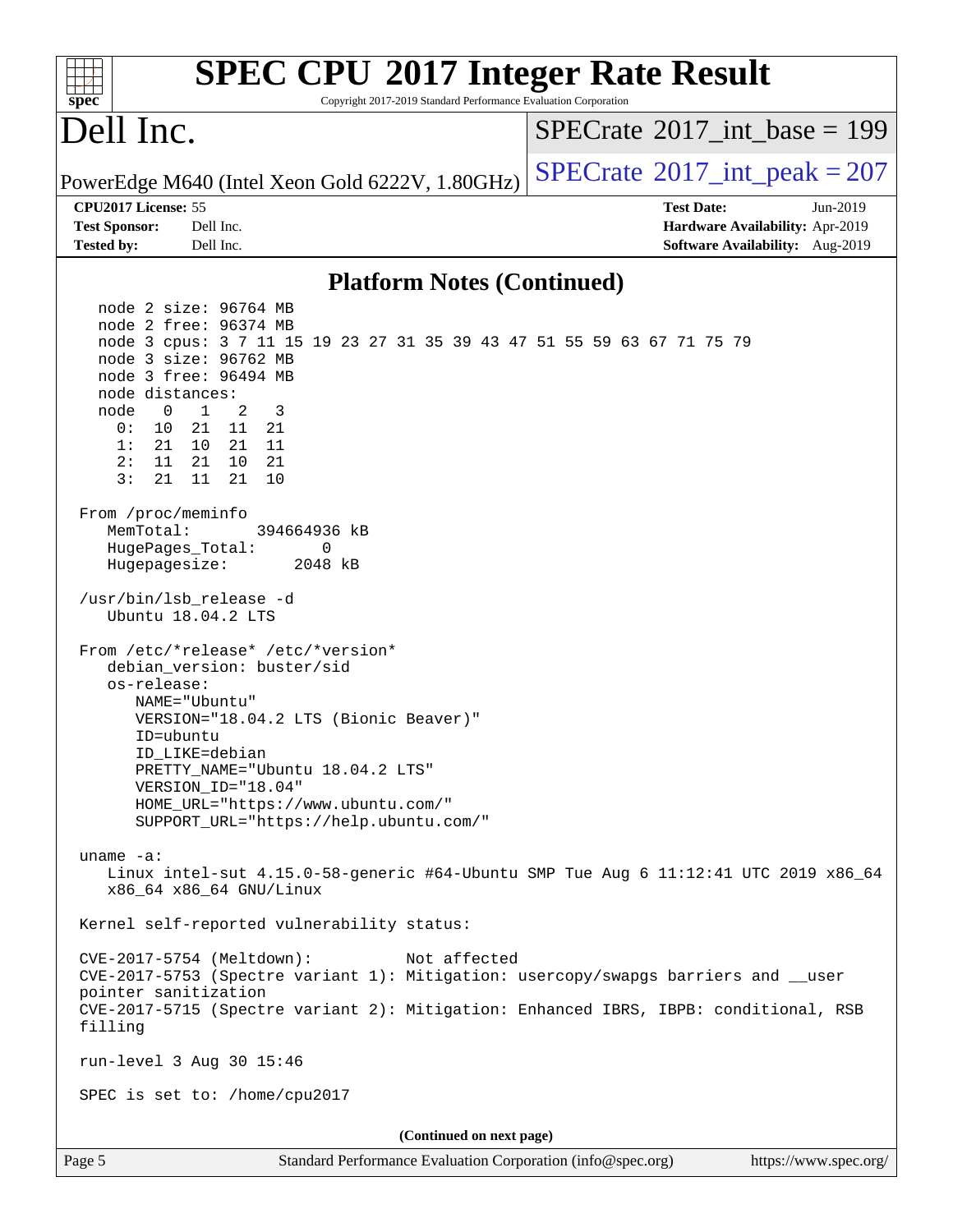| <b>SPEC CPU®2017 Integer Rate Result</b><br>Copyright 2017-2019 Standard Performance Evaluation Corporation<br>spec                                                                                                                                                                                                                                                 |                                             |
|---------------------------------------------------------------------------------------------------------------------------------------------------------------------------------------------------------------------------------------------------------------------------------------------------------------------------------------------------------------------|---------------------------------------------|
| Dell Inc.                                                                                                                                                                                                                                                                                                                                                           | $SPECrate^{\circledast}2017$ int base = 199 |
| PowerEdge M640 (Intel Xeon Gold 6222V, 1.80GHz)                                                                                                                                                                                                                                                                                                                     | $SPECTate$ <sup>®</sup> 2017_int_peak = 207 |
| CPU2017 License: 55                                                                                                                                                                                                                                                                                                                                                 | <b>Test Date:</b><br>Jun-2019               |
| Dell Inc.<br><b>Test Sponsor:</b>                                                                                                                                                                                                                                                                                                                                   | Hardware Availability: Apr-2019             |
| <b>Tested by:</b><br>Dell Inc.                                                                                                                                                                                                                                                                                                                                      | Software Availability: Aug-2019             |
| <b>Platform Notes (Continued)</b>                                                                                                                                                                                                                                                                                                                                   |                                             |
| node 2 size: 96764 MB<br>node 2 free: 96374 MB<br>node 3 cpus: 3 7 11 15 19 23 27 31 35 39 43 47 51 55 59 63 67 71 75 79<br>node 3 size: 96762 MB<br>node 3 free: 96494 MB<br>node distances:<br>2<br>$\overline{0}$<br>$\mathbf{1}$<br>3<br>node<br>0:<br>10<br>21 11 21<br>1:<br>21<br>10<br>21<br>- 11<br>2:<br>11<br>21 10<br>-21<br>3:<br>10<br>21<br>11<br>21 |                                             |
| From /proc/meminfo<br>MemTotal:<br>394664936 kB<br>HugePages_Total:<br>0<br>Hugepagesize:<br>2048 kB<br>/usr/bin/lsb_release -d<br>Ubuntu 18.04.2 LTS                                                                                                                                                                                                               |                                             |
| From /etc/*release* /etc/*version*<br>debian_version: buster/sid<br>os-release:<br>NAME="Ubuntu"<br>VERSION="18.04.2 LTS (Bionic Beaver)"<br>ID=ubuntu<br>ID_LIKE=debian<br>PRETTY_NAME="Ubuntu 18.04.2 LTS"<br>VERSION_ID="18.04"<br>HOME_URL="https://www.ubuntu.com/"<br>SUPPORT_URL="https://help.ubuntu.com/"                                                  |                                             |
| uname $-a$ :<br>Linux intel-sut $4.15.0$ -58-generic #64-Ubuntu SMP Tue Aug 6 11:12:41 UTC 2019 x86_64<br>x86_64 x86_64 GNU/Linux                                                                                                                                                                                                                                   |                                             |
| Kernel self-reported vulnerability status:                                                                                                                                                                                                                                                                                                                          |                                             |
| CVE-2017-5754 (Meltdown):<br>Not affected<br>CVE-2017-5753 (Spectre variant 1): Mitigation: usercopy/swapgs barriers and __user<br>pointer sanitization<br>CVE-2017-5715 (Spectre variant 2): Mitigation: Enhanced IBRS, IBPB: conditional, RSB<br>filling                                                                                                          |                                             |
| run-level 3 Aug 30 15:46                                                                                                                                                                                                                                                                                                                                            |                                             |
| SPEC is set to: /home/cpu2017                                                                                                                                                                                                                                                                                                                                       |                                             |
| (Continued on next page)                                                                                                                                                                                                                                                                                                                                            |                                             |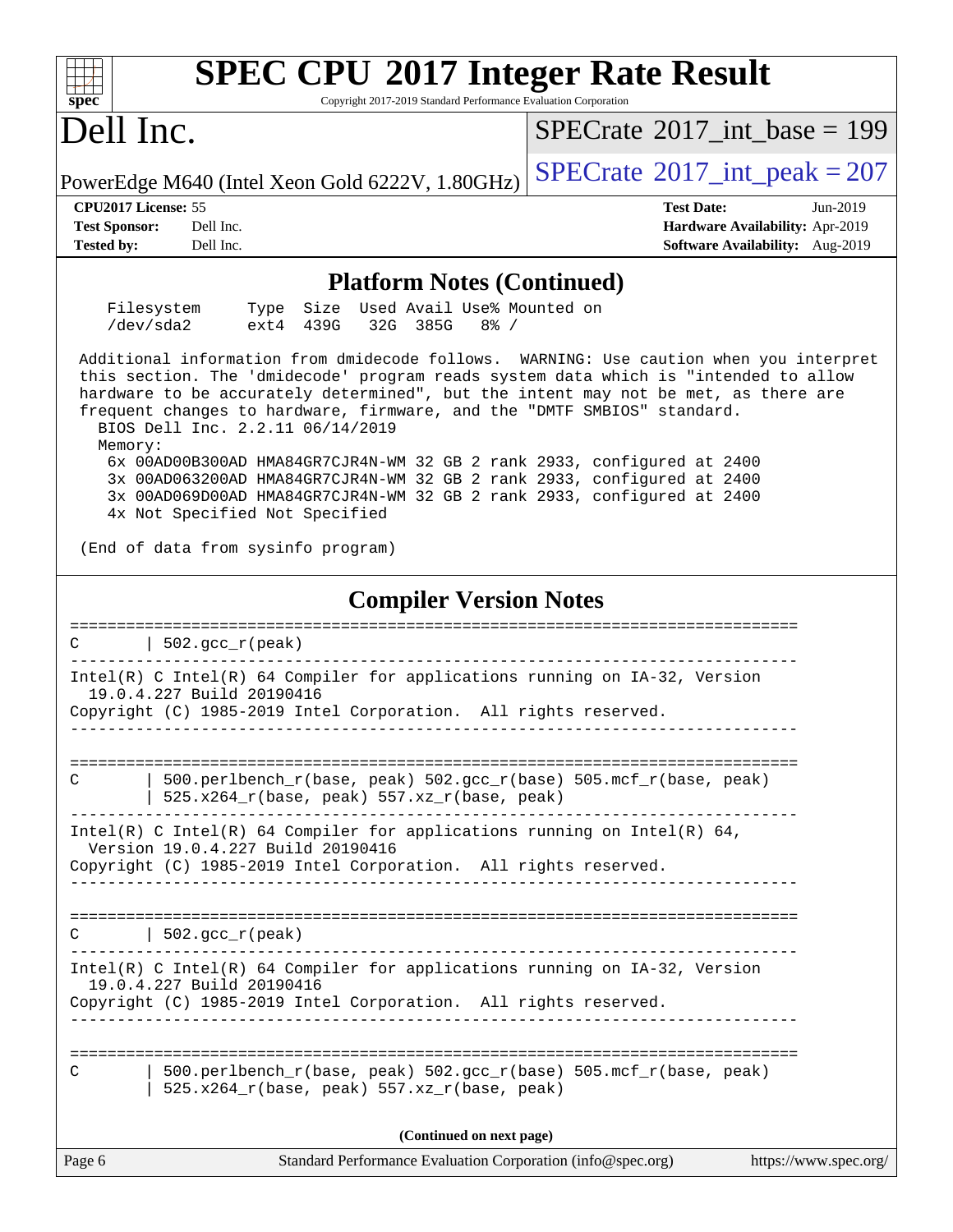| <b>SPEC CPU®2017 Integer Rate Result</b><br>Copyright 2017-2019 Standard Performance Evaluation Corporation<br>$spec^*$                                                                                                                                                                                                                                                                                                                                                                                                                                                                                                                                                                             |                                                                                                     |  |  |  |  |
|-----------------------------------------------------------------------------------------------------------------------------------------------------------------------------------------------------------------------------------------------------------------------------------------------------------------------------------------------------------------------------------------------------------------------------------------------------------------------------------------------------------------------------------------------------------------------------------------------------------------------------------------------------------------------------------------------------|-----------------------------------------------------------------------------------------------------|--|--|--|--|
| Dell Inc.                                                                                                                                                                                                                                                                                                                                                                                                                                                                                                                                                                                                                                                                                           | $SPECrate^{\circ}2017\_int\_base = 199$                                                             |  |  |  |  |
| PowerEdge M640 (Intel Xeon Gold 6222V, 1.80GHz)                                                                                                                                                                                                                                                                                                                                                                                                                                                                                                                                                                                                                                                     | $SPECTate@2017_int\_peak = 207$                                                                     |  |  |  |  |
| CPU2017 License: 55<br><b>Test Sponsor:</b><br>Dell Inc.<br><b>Tested by:</b><br>Dell Inc.                                                                                                                                                                                                                                                                                                                                                                                                                                                                                                                                                                                                          | <b>Test Date:</b><br>Jun-2019<br>Hardware Availability: Apr-2019<br>Software Availability: Aug-2019 |  |  |  |  |
| <b>Platform Notes (Continued)</b>                                                                                                                                                                                                                                                                                                                                                                                                                                                                                                                                                                                                                                                                   |                                                                                                     |  |  |  |  |
| Filesystem<br>Used Avail Use% Mounted on<br>Type Size<br>/dev/sda2<br>ext4 439G<br>32G 385G<br>$8\frac{6}{9}$ /                                                                                                                                                                                                                                                                                                                                                                                                                                                                                                                                                                                     |                                                                                                     |  |  |  |  |
| Additional information from dmidecode follows. WARNING: Use caution when you interpret<br>this section. The 'dmidecode' program reads system data which is "intended to allow<br>hardware to be accurately determined", but the intent may not be met, as there are<br>frequent changes to hardware, firmware, and the "DMTF SMBIOS" standard.<br>BIOS Dell Inc. 2.2.11 06/14/2019<br>Memory:<br>6x 00AD00B300AD HMA84GR7CJR4N-WM 32 GB 2 rank 2933, configured at 2400<br>3x 00AD063200AD HMA84GR7CJR4N-WM 32 GB 2 rank 2933, configured at 2400<br>3x 00AD069D00AD HMA84GR7CJR4N-WM 32 GB 2 rank 2933, configured at 2400<br>4x Not Specified Not Specified<br>(End of data from sysinfo program) |                                                                                                     |  |  |  |  |
|                                                                                                                                                                                                                                                                                                                                                                                                                                                                                                                                                                                                                                                                                                     |                                                                                                     |  |  |  |  |
| <b>Compiler Version Notes</b>                                                                                                                                                                                                                                                                                                                                                                                                                                                                                                                                                                                                                                                                       |                                                                                                     |  |  |  |  |
| $502.$ gcc_r(peak)<br>C                                                                                                                                                                                                                                                                                                                                                                                                                                                                                                                                                                                                                                                                             |                                                                                                     |  |  |  |  |
| Intel(R) C Intel(R) 64 Compiler for applications running on IA-32, Version<br>19.0.4.227 Build 20190416<br>Copyright (C) 1985-2019 Intel Corporation. All rights reserved.                                                                                                                                                                                                                                                                                                                                                                                                                                                                                                                          |                                                                                                     |  |  |  |  |
| 500.perlbench_r(base, peak) 502.gcc_r(base) 505.mcf_r(base, peak)<br>С<br>525.x264_r(base, peak) 557.xz_r(base, peak)                                                                                                                                                                                                                                                                                                                                                                                                                                                                                                                                                                               |                                                                                                     |  |  |  |  |
| Intel(R) C Intel(R) 64 Compiler for applications running on Intel(R) 64,<br>Version 19.0.4.227 Build 20190416<br>Copyright (C) 1985-2019 Intel Corporation. All rights reserved.                                                                                                                                                                                                                                                                                                                                                                                                                                                                                                                    |                                                                                                     |  |  |  |  |
|                                                                                                                                                                                                                                                                                                                                                                                                                                                                                                                                                                                                                                                                                                     |                                                                                                     |  |  |  |  |
| $502.\text{gcc}_r(\text{peak})$<br>C                                                                                                                                                                                                                                                                                                                                                                                                                                                                                                                                                                                                                                                                |                                                                                                     |  |  |  |  |
| Intel(R) C Intel(R) 64 Compiler for applications running on IA-32, Version<br>19.0.4.227 Build 20190416                                                                                                                                                                                                                                                                                                                                                                                                                                                                                                                                                                                             |                                                                                                     |  |  |  |  |
| Copyright (C) 1985-2019 Intel Corporation. All rights reserved.                                                                                                                                                                                                                                                                                                                                                                                                                                                                                                                                                                                                                                     |                                                                                                     |  |  |  |  |
| 500.perlbench_r(base, peak) 502.gcc_r(base) 505.mcf_r(base, peak)<br>C<br>525.x264_r(base, peak) 557.xz_r(base, peak)                                                                                                                                                                                                                                                                                                                                                                                                                                                                                                                                                                               |                                                                                                     |  |  |  |  |
| (Continued on next page)                                                                                                                                                                                                                                                                                                                                                                                                                                                                                                                                                                                                                                                                            |                                                                                                     |  |  |  |  |
| Page 6<br>Standard Performance Evaluation Corporation (info@spec.org)                                                                                                                                                                                                                                                                                                                                                                                                                                                                                                                                                                                                                               | https://www.spec.org/                                                                               |  |  |  |  |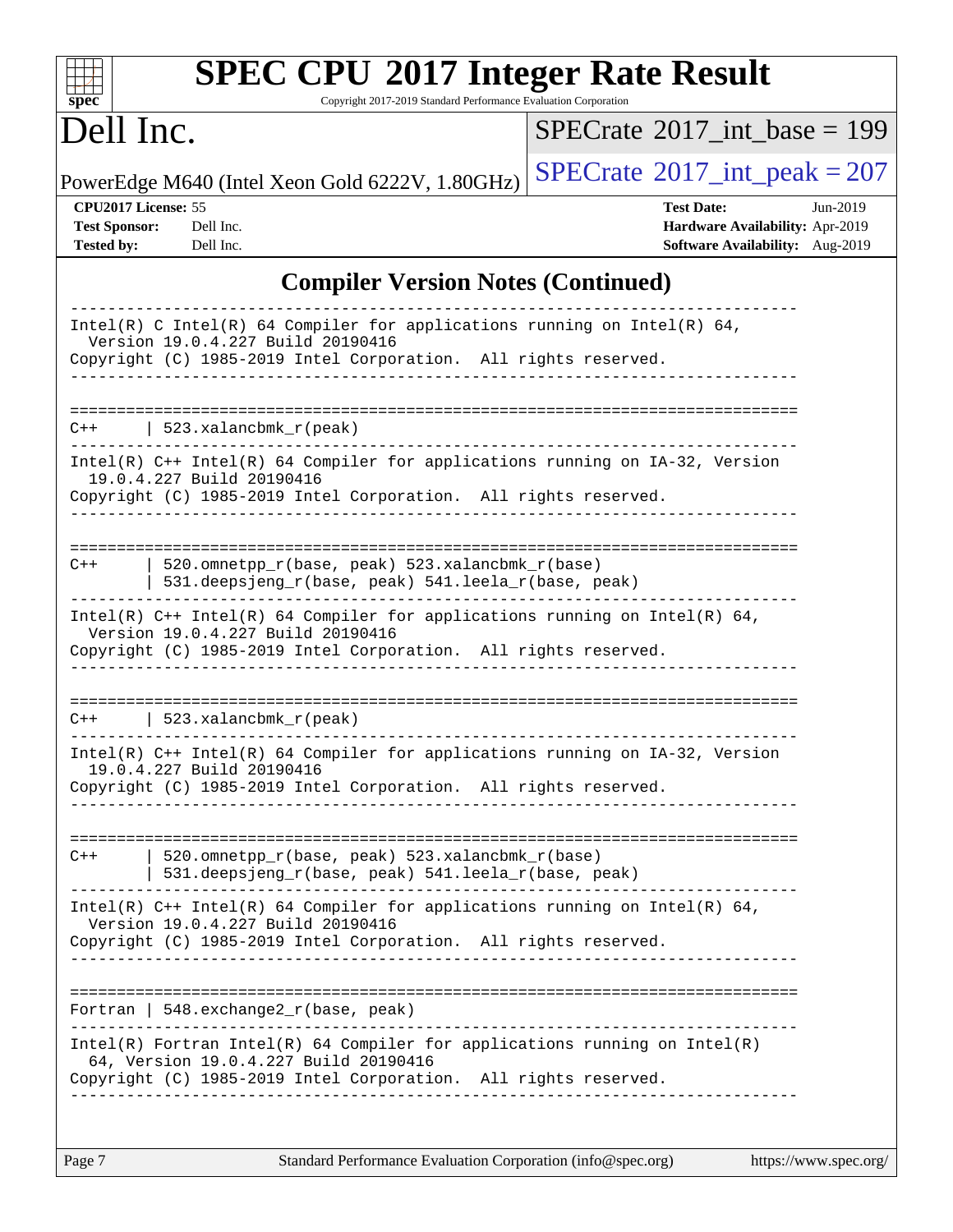| $spec^*$                                                         | <b>SPEC CPU®2017 Integer Rate Result</b><br>Copyright 2017-2019 Standard Performance Evaluation Corporation                                                                            |                                                                                                     |
|------------------------------------------------------------------|----------------------------------------------------------------------------------------------------------------------------------------------------------------------------------------|-----------------------------------------------------------------------------------------------------|
| Dell Inc.                                                        |                                                                                                                                                                                        | $SPECrate^{\circledast}2017$ int base = 199                                                         |
|                                                                  | PowerEdge M640 (Intel Xeon Gold 6222V, 1.80GHz)                                                                                                                                        | $SPECTate$ <sup>®</sup> 2017_int_peak = 207                                                         |
| CPU2017 License: 55<br><b>Test Sponsor:</b><br><b>Tested by:</b> | Dell Inc.<br>Dell Inc.                                                                                                                                                                 | <b>Test Date:</b><br>Jun-2019<br>Hardware Availability: Apr-2019<br>Software Availability: Aug-2019 |
|                                                                  | <b>Compiler Version Notes (Continued)</b>                                                                                                                                              |                                                                                                     |
|                                                                  | Intel(R) C Intel(R) 64 Compiler for applications running on Intel(R) 64,<br>Version 19.0.4.227 Build 20190416<br>Copyright (C) 1985-2019 Intel Corporation. All rights reserved.       |                                                                                                     |
| $C++$                                                            | $523. x$ alancbmk_r(peak)                                                                                                                                                              |                                                                                                     |
|                                                                  | $Intel(R)$ C++ Intel(R) 64 Compiler for applications running on IA-32, Version<br>19.0.4.227 Build 20190416<br>Copyright (C) 1985-2019 Intel Corporation. All rights reserved.         |                                                                                                     |
| $C++$                                                            | 520.omnetpp_r(base, peak) 523.xalancbmk_r(base)<br>531.deepsjeng_r(base, peak) 541.leela_r(base, peak)                                                                                 |                                                                                                     |
|                                                                  | Intel(R) $C++$ Intel(R) 64 Compiler for applications running on Intel(R) 64,<br>Version 19.0.4.227 Build 20190416<br>Copyright (C) 1985-2019 Intel Corporation. All rights reserved.   |                                                                                                     |
| $C++$                                                            | 523.xalancbmk $r(\text{peak})$                                                                                                                                                         |                                                                                                     |
|                                                                  | Intel(R) C++ Intel(R) 64 Compiler for applications running on IA-32, Version<br>19.0.4.227 Build 20190416<br>Copyright (C) 1985-2019 Intel Corporation. All rights reserved.           |                                                                                                     |
| $C++$                                                            | 520.omnetpp_r(base, peak) 523.xalancbmk_r(base)<br>  531.deepsjeng_r(base, peak) 541.leela_r(base, peak)                                                                               |                                                                                                     |
|                                                                  | Intel(R) $C++$ Intel(R) 64 Compiler for applications running on Intel(R) 64,<br>Version 19.0.4.227 Build 20190416<br>Copyright (C) 1985-2019 Intel Corporation. All rights reserved.   |                                                                                                     |
|                                                                  | Fortran   $548$ . exchange $2_r$ (base, peak)                                                                                                                                          |                                                                                                     |
|                                                                  | Intel(R) Fortran Intel(R) 64 Compiler for applications running on Intel(R)<br>64, Version 19.0.4.227 Build 20190416<br>Copyright (C) 1985-2019 Intel Corporation. All rights reserved. |                                                                                                     |
|                                                                  |                                                                                                                                                                                        |                                                                                                     |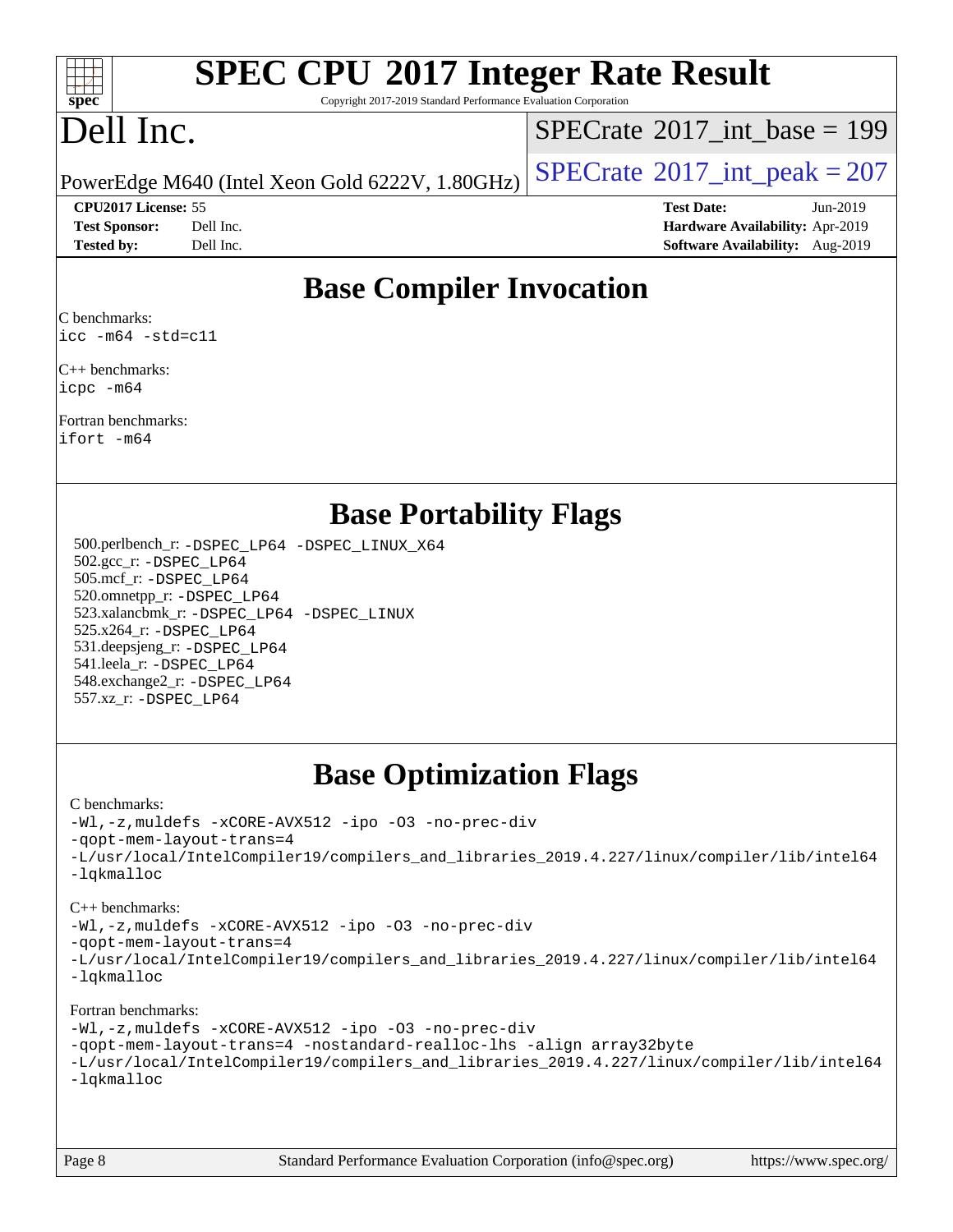

# **[SPEC CPU](http://www.spec.org/auto/cpu2017/Docs/result-fields.html#SPECCPU2017IntegerRateResult)[2017 Integer Rate Result](http://www.spec.org/auto/cpu2017/Docs/result-fields.html#SPECCPU2017IntegerRateResult)**

Copyright 2017-2019 Standard Performance Evaluation Corporation

# Dell Inc.

 $SPECTate@2017_int\_base = 199$ 

### **[CPU2017 License:](http://www.spec.org/auto/cpu2017/Docs/result-fields.html#CPU2017License)** 55 **[Test Date:](http://www.spec.org/auto/cpu2017/Docs/result-fields.html#TestDate)** Jun-2019

PowerEdge M640 (Intel Xeon Gold 6222V,  $1.80GHz$ ) [SPECrate](http://www.spec.org/auto/cpu2017/Docs/result-fields.html#SPECrate2017intpeak)<sup>®</sup>[2017\\_int\\_peak = 2](http://www.spec.org/auto/cpu2017/Docs/result-fields.html#SPECrate2017intpeak)07

**[Test Sponsor:](http://www.spec.org/auto/cpu2017/Docs/result-fields.html#TestSponsor)** Dell Inc. **[Hardware Availability:](http://www.spec.org/auto/cpu2017/Docs/result-fields.html#HardwareAvailability)** Apr-2019 **[Tested by:](http://www.spec.org/auto/cpu2017/Docs/result-fields.html#Testedby)** Dell Inc. **[Software Availability:](http://www.spec.org/auto/cpu2017/Docs/result-fields.html#SoftwareAvailability)** Aug-2019

### **[Base Compiler Invocation](http://www.spec.org/auto/cpu2017/Docs/result-fields.html#BaseCompilerInvocation)**

[C benchmarks](http://www.spec.org/auto/cpu2017/Docs/result-fields.html#Cbenchmarks): [icc -m64 -std=c11](http://www.spec.org/cpu2017/results/res2019q4/cpu2017-20190916-17963.flags.html#user_CCbase_intel_icc_64bit_c11_33ee0cdaae7deeeab2a9725423ba97205ce30f63b9926c2519791662299b76a0318f32ddfffdc46587804de3178b4f9328c46fa7c2b0cd779d7a61945c91cd35)

[C++ benchmarks](http://www.spec.org/auto/cpu2017/Docs/result-fields.html#CXXbenchmarks): [icpc -m64](http://www.spec.org/cpu2017/results/res2019q4/cpu2017-20190916-17963.flags.html#user_CXXbase_intel_icpc_64bit_4ecb2543ae3f1412ef961e0650ca070fec7b7afdcd6ed48761b84423119d1bf6bdf5cad15b44d48e7256388bc77273b966e5eb805aefd121eb22e9299b2ec9d9)

[Fortran benchmarks:](http://www.spec.org/auto/cpu2017/Docs/result-fields.html#Fortranbenchmarks) [ifort -m64](http://www.spec.org/cpu2017/results/res2019q4/cpu2017-20190916-17963.flags.html#user_FCbase_intel_ifort_64bit_24f2bb282fbaeffd6157abe4f878425411749daecae9a33200eee2bee2fe76f3b89351d69a8130dd5949958ce389cf37ff59a95e7a40d588e8d3a57e0c3fd751)

### **[Base Portability Flags](http://www.spec.org/auto/cpu2017/Docs/result-fields.html#BasePortabilityFlags)**

 500.perlbench\_r: [-DSPEC\\_LP64](http://www.spec.org/cpu2017/results/res2019q4/cpu2017-20190916-17963.flags.html#b500.perlbench_r_basePORTABILITY_DSPEC_LP64) [-DSPEC\\_LINUX\\_X64](http://www.spec.org/cpu2017/results/res2019q4/cpu2017-20190916-17963.flags.html#b500.perlbench_r_baseCPORTABILITY_DSPEC_LINUX_X64) 502.gcc\_r: [-DSPEC\\_LP64](http://www.spec.org/cpu2017/results/res2019q4/cpu2017-20190916-17963.flags.html#suite_basePORTABILITY502_gcc_r_DSPEC_LP64) 505.mcf\_r: [-DSPEC\\_LP64](http://www.spec.org/cpu2017/results/res2019q4/cpu2017-20190916-17963.flags.html#suite_basePORTABILITY505_mcf_r_DSPEC_LP64) 520.omnetpp\_r: [-DSPEC\\_LP64](http://www.spec.org/cpu2017/results/res2019q4/cpu2017-20190916-17963.flags.html#suite_basePORTABILITY520_omnetpp_r_DSPEC_LP64) 523.xalancbmk\_r: [-DSPEC\\_LP64](http://www.spec.org/cpu2017/results/res2019q4/cpu2017-20190916-17963.flags.html#suite_basePORTABILITY523_xalancbmk_r_DSPEC_LP64) [-DSPEC\\_LINUX](http://www.spec.org/cpu2017/results/res2019q4/cpu2017-20190916-17963.flags.html#b523.xalancbmk_r_baseCXXPORTABILITY_DSPEC_LINUX) 525.x264\_r: [-DSPEC\\_LP64](http://www.spec.org/cpu2017/results/res2019q4/cpu2017-20190916-17963.flags.html#suite_basePORTABILITY525_x264_r_DSPEC_LP64) 531.deepsjeng\_r: [-DSPEC\\_LP64](http://www.spec.org/cpu2017/results/res2019q4/cpu2017-20190916-17963.flags.html#suite_basePORTABILITY531_deepsjeng_r_DSPEC_LP64) 541.leela\_r: [-DSPEC\\_LP64](http://www.spec.org/cpu2017/results/res2019q4/cpu2017-20190916-17963.flags.html#suite_basePORTABILITY541_leela_r_DSPEC_LP64) 548.exchange2\_r: [-DSPEC\\_LP64](http://www.spec.org/cpu2017/results/res2019q4/cpu2017-20190916-17963.flags.html#suite_basePORTABILITY548_exchange2_r_DSPEC_LP64) 557.xz\_r: [-DSPEC\\_LP64](http://www.spec.org/cpu2017/results/res2019q4/cpu2017-20190916-17963.flags.html#suite_basePORTABILITY557_xz_r_DSPEC_LP64)

# **[Base Optimization Flags](http://www.spec.org/auto/cpu2017/Docs/result-fields.html#BaseOptimizationFlags)**

#### [C benchmarks](http://www.spec.org/auto/cpu2017/Docs/result-fields.html#Cbenchmarks):

[-Wl,-z,muldefs](http://www.spec.org/cpu2017/results/res2019q4/cpu2017-20190916-17963.flags.html#user_CCbase_link_force_multiple1_b4cbdb97b34bdee9ceefcfe54f4c8ea74255f0b02a4b23e853cdb0e18eb4525ac79b5a88067c842dd0ee6996c24547a27a4b99331201badda8798ef8a743f577) [-xCORE-AVX512](http://www.spec.org/cpu2017/results/res2019q4/cpu2017-20190916-17963.flags.html#user_CCbase_f-xCORE-AVX512) [-ipo](http://www.spec.org/cpu2017/results/res2019q4/cpu2017-20190916-17963.flags.html#user_CCbase_f-ipo) [-O3](http://www.spec.org/cpu2017/results/res2019q4/cpu2017-20190916-17963.flags.html#user_CCbase_f-O3) [-no-prec-div](http://www.spec.org/cpu2017/results/res2019q4/cpu2017-20190916-17963.flags.html#user_CCbase_f-no-prec-div) [-qopt-mem-layout-trans=4](http://www.spec.org/cpu2017/results/res2019q4/cpu2017-20190916-17963.flags.html#user_CCbase_f-qopt-mem-layout-trans_fa39e755916c150a61361b7846f310bcdf6f04e385ef281cadf3647acec3f0ae266d1a1d22d972a7087a248fd4e6ca390a3634700869573d231a252c784941a8) [-L/usr/local/IntelCompiler19/compilers\\_and\\_libraries\\_2019.4.227/linux/compiler/lib/intel64](http://www.spec.org/cpu2017/results/res2019q4/cpu2017-20190916-17963.flags.html#user_CCbase_qkmalloc_link_0ffe0cb02c68ef1b443a077c7888c10c67ca0d1dd7138472156f06a085bbad385f78d49618ad55dca9db3b1608e84afc2f69b4003b1d1ca498a9fc1462ccefda) [-lqkmalloc](http://www.spec.org/cpu2017/results/res2019q4/cpu2017-20190916-17963.flags.html#user_CCbase_qkmalloc_link_lib_79a818439969f771c6bc311cfd333c00fc099dad35c030f5aab9dda831713d2015205805422f83de8875488a2991c0a156aaa600e1f9138f8fc37004abc96dc5)

#### [C++ benchmarks](http://www.spec.org/auto/cpu2017/Docs/result-fields.html#CXXbenchmarks):

[-Wl,-z,muldefs](http://www.spec.org/cpu2017/results/res2019q4/cpu2017-20190916-17963.flags.html#user_CXXbase_link_force_multiple1_b4cbdb97b34bdee9ceefcfe54f4c8ea74255f0b02a4b23e853cdb0e18eb4525ac79b5a88067c842dd0ee6996c24547a27a4b99331201badda8798ef8a743f577) [-xCORE-AVX512](http://www.spec.org/cpu2017/results/res2019q4/cpu2017-20190916-17963.flags.html#user_CXXbase_f-xCORE-AVX512) [-ipo](http://www.spec.org/cpu2017/results/res2019q4/cpu2017-20190916-17963.flags.html#user_CXXbase_f-ipo) [-O3](http://www.spec.org/cpu2017/results/res2019q4/cpu2017-20190916-17963.flags.html#user_CXXbase_f-O3) [-no-prec-div](http://www.spec.org/cpu2017/results/res2019q4/cpu2017-20190916-17963.flags.html#user_CXXbase_f-no-prec-div)

[-qopt-mem-layout-trans=4](http://www.spec.org/cpu2017/results/res2019q4/cpu2017-20190916-17963.flags.html#user_CXXbase_f-qopt-mem-layout-trans_fa39e755916c150a61361b7846f310bcdf6f04e385ef281cadf3647acec3f0ae266d1a1d22d972a7087a248fd4e6ca390a3634700869573d231a252c784941a8)

[-L/usr/local/IntelCompiler19/compilers\\_and\\_libraries\\_2019.4.227/linux/compiler/lib/intel64](http://www.spec.org/cpu2017/results/res2019q4/cpu2017-20190916-17963.flags.html#user_CXXbase_qkmalloc_link_0ffe0cb02c68ef1b443a077c7888c10c67ca0d1dd7138472156f06a085bbad385f78d49618ad55dca9db3b1608e84afc2f69b4003b1d1ca498a9fc1462ccefda) [-lqkmalloc](http://www.spec.org/cpu2017/results/res2019q4/cpu2017-20190916-17963.flags.html#user_CXXbase_qkmalloc_link_lib_79a818439969f771c6bc311cfd333c00fc099dad35c030f5aab9dda831713d2015205805422f83de8875488a2991c0a156aaa600e1f9138f8fc37004abc96dc5)

### [Fortran benchmarks](http://www.spec.org/auto/cpu2017/Docs/result-fields.html#Fortranbenchmarks):

[-Wl,-z,muldefs](http://www.spec.org/cpu2017/results/res2019q4/cpu2017-20190916-17963.flags.html#user_FCbase_link_force_multiple1_b4cbdb97b34bdee9ceefcfe54f4c8ea74255f0b02a4b23e853cdb0e18eb4525ac79b5a88067c842dd0ee6996c24547a27a4b99331201badda8798ef8a743f577) [-xCORE-AVX512](http://www.spec.org/cpu2017/results/res2019q4/cpu2017-20190916-17963.flags.html#user_FCbase_f-xCORE-AVX512) [-ipo](http://www.spec.org/cpu2017/results/res2019q4/cpu2017-20190916-17963.flags.html#user_FCbase_f-ipo) [-O3](http://www.spec.org/cpu2017/results/res2019q4/cpu2017-20190916-17963.flags.html#user_FCbase_f-O3) [-no-prec-div](http://www.spec.org/cpu2017/results/res2019q4/cpu2017-20190916-17963.flags.html#user_FCbase_f-no-prec-div) [-qopt-mem-layout-trans=4](http://www.spec.org/cpu2017/results/res2019q4/cpu2017-20190916-17963.flags.html#user_FCbase_f-qopt-mem-layout-trans_fa39e755916c150a61361b7846f310bcdf6f04e385ef281cadf3647acec3f0ae266d1a1d22d972a7087a248fd4e6ca390a3634700869573d231a252c784941a8) [-nostandard-realloc-lhs](http://www.spec.org/cpu2017/results/res2019q4/cpu2017-20190916-17963.flags.html#user_FCbase_f_2003_std_realloc_82b4557e90729c0f113870c07e44d33d6f5a304b4f63d4c15d2d0f1fab99f5daaed73bdb9275d9ae411527f28b936061aa8b9c8f2d63842963b95c9dd6426b8a) [-align array32byte](http://www.spec.org/cpu2017/results/res2019q4/cpu2017-20190916-17963.flags.html#user_FCbase_align_array32byte_b982fe038af199962ba9a80c053b8342c548c85b40b8e86eb3cc33dee0d7986a4af373ac2d51c3f7cf710a18d62fdce2948f201cd044323541f22fc0fffc51b6) [-L/usr/local/IntelCompiler19/compilers\\_and\\_libraries\\_2019.4.227/linux/compiler/lib/intel64](http://www.spec.org/cpu2017/results/res2019q4/cpu2017-20190916-17963.flags.html#user_FCbase_qkmalloc_link_0ffe0cb02c68ef1b443a077c7888c10c67ca0d1dd7138472156f06a085bbad385f78d49618ad55dca9db3b1608e84afc2f69b4003b1d1ca498a9fc1462ccefda) [-lqkmalloc](http://www.spec.org/cpu2017/results/res2019q4/cpu2017-20190916-17963.flags.html#user_FCbase_qkmalloc_link_lib_79a818439969f771c6bc311cfd333c00fc099dad35c030f5aab9dda831713d2015205805422f83de8875488a2991c0a156aaa600e1f9138f8fc37004abc96dc5)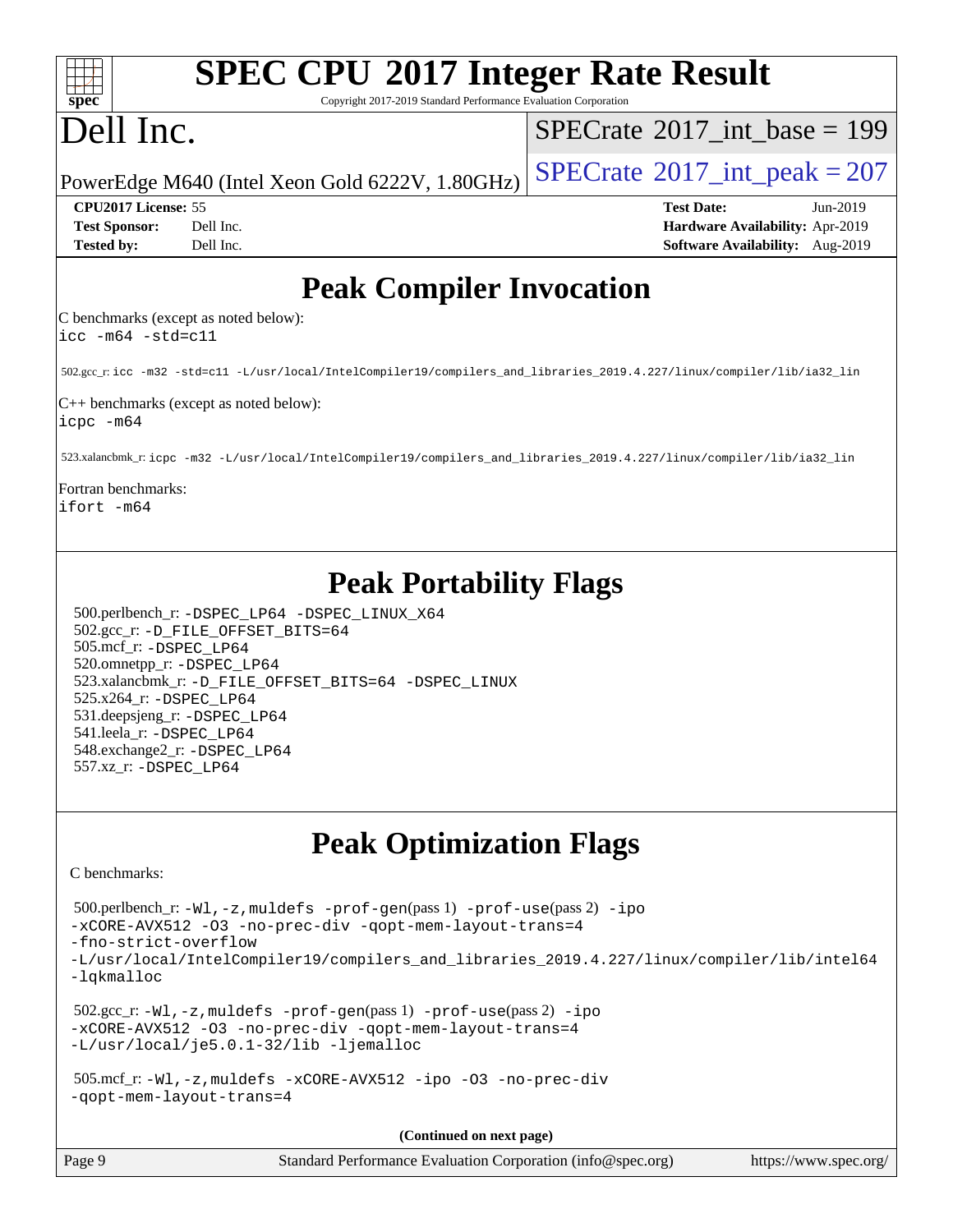| <b>SPEC CPU®2017 Integer Rate Result</b><br>spec <sup>®</sup><br>Copyright 2017-2019 Standard Performance Evaluation Corporation                                                                                                                                                                                                                                                                                                                                                                                                                                                   |                                                                                                     |
|------------------------------------------------------------------------------------------------------------------------------------------------------------------------------------------------------------------------------------------------------------------------------------------------------------------------------------------------------------------------------------------------------------------------------------------------------------------------------------------------------------------------------------------------------------------------------------|-----------------------------------------------------------------------------------------------------|
| Dell Inc.                                                                                                                                                                                                                                                                                                                                                                                                                                                                                                                                                                          | $SPECrate^{\circledast}2017$ int base = 199                                                         |
| PowerEdge M640 (Intel Xeon Gold 6222V, 1.80GHz)                                                                                                                                                                                                                                                                                                                                                                                                                                                                                                                                    | $SPECTate$ <sup>®</sup> 2017_int_peak = 207                                                         |
| CPU2017 License: 55<br><b>Test Sponsor:</b><br>Dell Inc.<br><b>Tested by:</b><br>Dell Inc.                                                                                                                                                                                                                                                                                                                                                                                                                                                                                         | <b>Test Date:</b><br>Jun-2019<br>Hardware Availability: Apr-2019<br>Software Availability: Aug-2019 |
| <b>Peak Compiler Invocation</b>                                                                                                                                                                                                                                                                                                                                                                                                                                                                                                                                                    |                                                                                                     |
| C benchmarks (except as noted below):<br>$\text{icc -m64 -std=cl1}$                                                                                                                                                                                                                                                                                                                                                                                                                                                                                                                |                                                                                                     |
| 502.gcc_r: icc -m32 -std=c11 -L/usr/local/IntelCompiler19/compilers_and_libraries_2019.4.227/linux/compiler/lib/ia32_lin                                                                                                                                                                                                                                                                                                                                                                                                                                                           |                                                                                                     |
| $C++$ benchmarks (except as noted below):<br>icpc -m64                                                                                                                                                                                                                                                                                                                                                                                                                                                                                                                             |                                                                                                     |
| 523.xalancbmk_r: icpc -m32 -L/usr/local/IntelCompiler19/compilers_and_libraries_2019.4.227/linux/compiler/lib/ia32_lin                                                                                                                                                                                                                                                                                                                                                                                                                                                             |                                                                                                     |
| Fortran benchmarks:<br>ifort -m64                                                                                                                                                                                                                                                                                                                                                                                                                                                                                                                                                  |                                                                                                     |
| <b>Peak Portability Flags</b><br>500.perlbench_r: -DSPEC_LP64 -DSPEC_LINUX_X64<br>502.gcc_r: -D_FILE_OFFSET_BITS=64<br>505.mcf_r: -DSPEC_LP64<br>520.omnetpp_r: -DSPEC_LP64<br>523.xalancbmk_r: -D_FILE_OFFSET_BITS=64 -DSPEC_LINUX<br>525.x264_r: -DSPEC_LP64<br>531.deepsjeng_r: -DSPEC_LP64<br>541.leela_r: -DSPEC_LP64<br>548.exchange2_r: -DSPEC_LP64<br>557.xz_r: -DSPEC_LP64                                                                                                                                                                                                |                                                                                                     |
| <b>Peak Optimization Flags</b><br>C benchmarks:                                                                                                                                                                                                                                                                                                                                                                                                                                                                                                                                    |                                                                                                     |
| 500.perlbench_r: -Wl, -z, muldefs -prof-gen(pass 1) -prof-use(pass 2) -ipo<br>-xCORE-AVX512 -03 -no-prec-div -qopt-mem-layout-trans=4<br>-fno-strict-overflow<br>-L/usr/local/IntelCompiler19/compilers_and_libraries_2019.4.227/linux/compiler/lib/intel64<br>-lqkmalloc<br>$502.\text{sec\_r: } -W1$ , $-z$ , muldefs $-prof-gen(pass1)$ $-prof-use(pass2)$ $-ipo$<br>-xCORE-AVX512 -03 -no-prec-div -qopt-mem-layout-trans=4<br>-L/usr/local/je5.0.1-32/lib -ljemalloc<br>$505.\text{mcf_r: -W1, -z, multdefs -xCORE-AVX512 -ipo -03 -no-prec-div}$<br>-gopt-mem-layout-trans=4 |                                                                                                     |
| (Continued on next page)                                                                                                                                                                                                                                                                                                                                                                                                                                                                                                                                                           |                                                                                                     |

| Page 9 | Standard Performance Evaluation Corporation (info@spec.org) | https://www.spec.org/ |
|--------|-------------------------------------------------------------|-----------------------|
|        |                                                             |                       |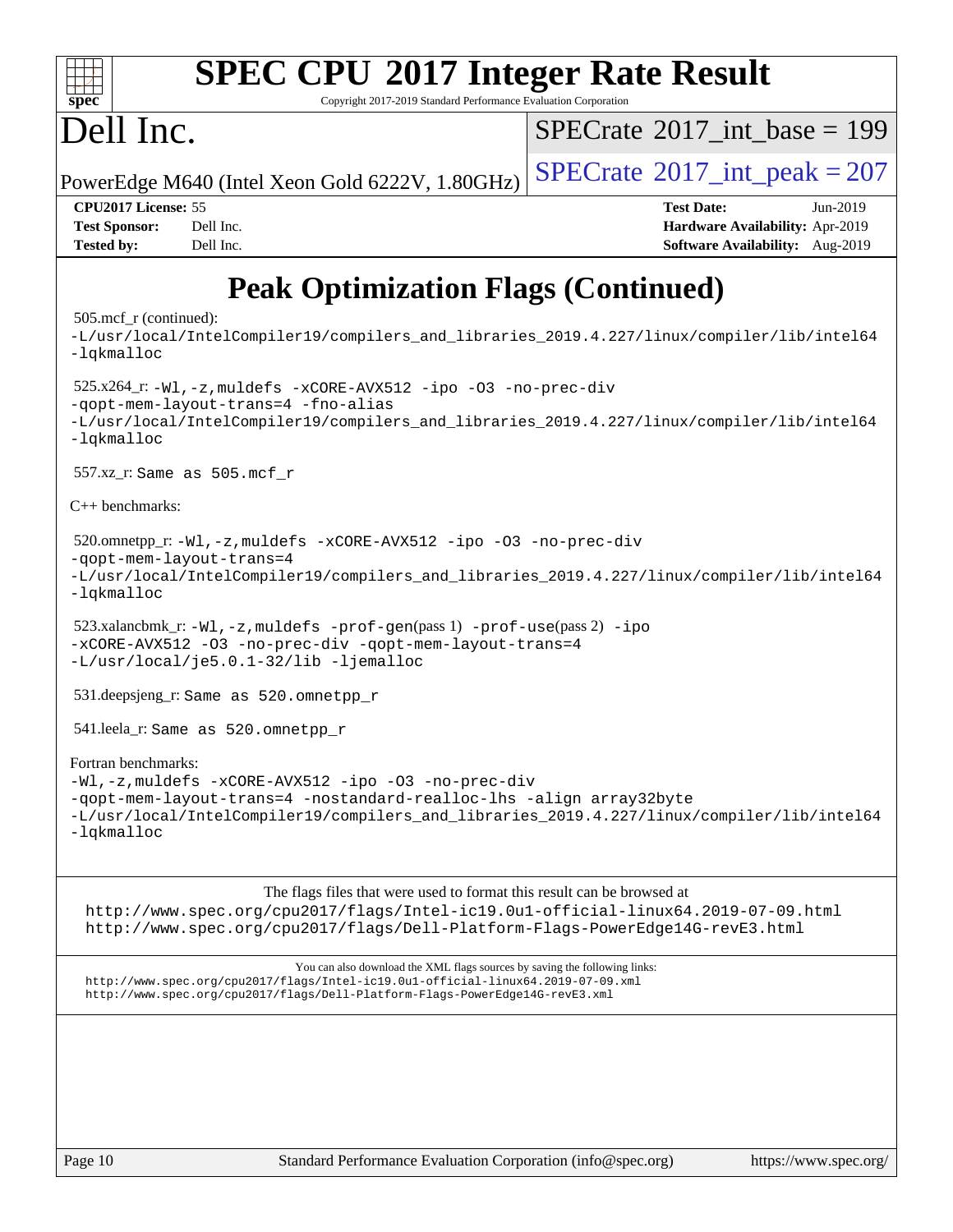### **[SPEC CPU](http://www.spec.org/auto/cpu2017/Docs/result-fields.html#SPECCPU2017IntegerRateResult)[2017 Integer Rate Result](http://www.spec.org/auto/cpu2017/Docs/result-fields.html#SPECCPU2017IntegerRateResult)**  $\pm\pm\prime$ **[spec](http://www.spec.org/)** Copyright 2017-2019 Standard Performance Evaluation Corporation Dell Inc.  $SPECTate@2017_int\_base = 199$ PowerEdge M640 (Intel Xeon Gold 6222V,  $1.80GHz$ ) [SPECrate](http://www.spec.org/auto/cpu2017/Docs/result-fields.html#SPECrate2017intpeak)<sup>®</sup>[2017\\_int\\_peak = 2](http://www.spec.org/auto/cpu2017/Docs/result-fields.html#SPECrate2017intpeak)07 **[CPU2017 License:](http://www.spec.org/auto/cpu2017/Docs/result-fields.html#CPU2017License)** 55 **[Test Date:](http://www.spec.org/auto/cpu2017/Docs/result-fields.html#TestDate)** Jun-2019 **[Test Sponsor:](http://www.spec.org/auto/cpu2017/Docs/result-fields.html#TestSponsor)** Dell Inc. **[Hardware Availability:](http://www.spec.org/auto/cpu2017/Docs/result-fields.html#HardwareAvailability)** Apr-2019 **[Tested by:](http://www.spec.org/auto/cpu2017/Docs/result-fields.html#Testedby)** Dell Inc. **[Software Availability:](http://www.spec.org/auto/cpu2017/Docs/result-fields.html#SoftwareAvailability)** Aug-2019 **[Peak Optimization Flags \(Continued\)](http://www.spec.org/auto/cpu2017/Docs/result-fields.html#PeakOptimizationFlags)** 505.mcf\_r (continued): [-L/usr/local/IntelCompiler19/compilers\\_and\\_libraries\\_2019.4.227/linux/compiler/lib/intel64](http://www.spec.org/cpu2017/results/res2019q4/cpu2017-20190916-17963.flags.html#user_peakEXTRA_LIBS505_mcf_r_qkmalloc_link_0ffe0cb02c68ef1b443a077c7888c10c67ca0d1dd7138472156f06a085bbad385f78d49618ad55dca9db3b1608e84afc2f69b4003b1d1ca498a9fc1462ccefda) [-lqkmalloc](http://www.spec.org/cpu2017/results/res2019q4/cpu2017-20190916-17963.flags.html#user_peakEXTRA_LIBS505_mcf_r_qkmalloc_link_lib_79a818439969f771c6bc311cfd333c00fc099dad35c030f5aab9dda831713d2015205805422f83de8875488a2991c0a156aaa600e1f9138f8fc37004abc96dc5) 525.x264\_r: [-Wl,-z,muldefs](http://www.spec.org/cpu2017/results/res2019q4/cpu2017-20190916-17963.flags.html#user_peakEXTRA_LDFLAGS525_x264_r_link_force_multiple1_b4cbdb97b34bdee9ceefcfe54f4c8ea74255f0b02a4b23e853cdb0e18eb4525ac79b5a88067c842dd0ee6996c24547a27a4b99331201badda8798ef8a743f577) [-xCORE-AVX512](http://www.spec.org/cpu2017/results/res2019q4/cpu2017-20190916-17963.flags.html#user_peakCOPTIMIZE525_x264_r_f-xCORE-AVX512) [-ipo](http://www.spec.org/cpu2017/results/res2019q4/cpu2017-20190916-17963.flags.html#user_peakCOPTIMIZE525_x264_r_f-ipo) [-O3](http://www.spec.org/cpu2017/results/res2019q4/cpu2017-20190916-17963.flags.html#user_peakCOPTIMIZE525_x264_r_f-O3) [-no-prec-div](http://www.spec.org/cpu2017/results/res2019q4/cpu2017-20190916-17963.flags.html#user_peakCOPTIMIZE525_x264_r_f-no-prec-div)

[-L/usr/local/IntelCompiler19/compilers\\_and\\_libraries\\_2019.4.227/linux/compiler/lib/intel64](http://www.spec.org/cpu2017/results/res2019q4/cpu2017-20190916-17963.flags.html#user_peakEXTRA_LIBS525_x264_r_qkmalloc_link_0ffe0cb02c68ef1b443a077c7888c10c67ca0d1dd7138472156f06a085bbad385f78d49618ad55dca9db3b1608e84afc2f69b4003b1d1ca498a9fc1462ccefda)

 520.omnetpp\_r: [-Wl,-z,muldefs](http://www.spec.org/cpu2017/results/res2019q4/cpu2017-20190916-17963.flags.html#user_peakEXTRA_LDFLAGS520_omnetpp_r_link_force_multiple1_b4cbdb97b34bdee9ceefcfe54f4c8ea74255f0b02a4b23e853cdb0e18eb4525ac79b5a88067c842dd0ee6996c24547a27a4b99331201badda8798ef8a743f577) [-xCORE-AVX512](http://www.spec.org/cpu2017/results/res2019q4/cpu2017-20190916-17963.flags.html#user_peakCXXOPTIMIZE520_omnetpp_r_f-xCORE-AVX512) [-ipo](http://www.spec.org/cpu2017/results/res2019q4/cpu2017-20190916-17963.flags.html#user_peakCXXOPTIMIZE520_omnetpp_r_f-ipo) [-O3](http://www.spec.org/cpu2017/results/res2019q4/cpu2017-20190916-17963.flags.html#user_peakCXXOPTIMIZE520_omnetpp_r_f-O3) [-no-prec-div](http://www.spec.org/cpu2017/results/res2019q4/cpu2017-20190916-17963.flags.html#user_peakCXXOPTIMIZE520_omnetpp_r_f-no-prec-div) [-qopt-mem-layout-trans=4](http://www.spec.org/cpu2017/results/res2019q4/cpu2017-20190916-17963.flags.html#user_peakCXXOPTIMIZE520_omnetpp_r_f-qopt-mem-layout-trans_fa39e755916c150a61361b7846f310bcdf6f04e385ef281cadf3647acec3f0ae266d1a1d22d972a7087a248fd4e6ca390a3634700869573d231a252c784941a8) [-L/usr/local/IntelCompiler19/compilers\\_and\\_libraries\\_2019.4.227/linux/compiler/lib/intel64](http://www.spec.org/cpu2017/results/res2019q4/cpu2017-20190916-17963.flags.html#user_peakEXTRA_LIBS520_omnetpp_r_qkmalloc_link_0ffe0cb02c68ef1b443a077c7888c10c67ca0d1dd7138472156f06a085bbad385f78d49618ad55dca9db3b1608e84afc2f69b4003b1d1ca498a9fc1462ccefda) [-lqkmalloc](http://www.spec.org/cpu2017/results/res2019q4/cpu2017-20190916-17963.flags.html#user_peakEXTRA_LIBS520_omnetpp_r_qkmalloc_link_lib_79a818439969f771c6bc311cfd333c00fc099dad35c030f5aab9dda831713d2015205805422f83de8875488a2991c0a156aaa600e1f9138f8fc37004abc96dc5) 523.xalancbmk\_r:  $-W1$ ,  $-z$ , muldefs  $-prof-qen(pass 1)$   $-prof-use(pass 2) -ipo$  $-prof-use(pass 2) -ipo$  $-prof-use(pass 2) -ipo$ [-xCORE-AVX512](http://www.spec.org/cpu2017/results/res2019q4/cpu2017-20190916-17963.flags.html#user_peakPASS2_CXXOPTIMIZE523_xalancbmk_r_f-xCORE-AVX512) [-O3](http://www.spec.org/cpu2017/results/res2019q4/cpu2017-20190916-17963.flags.html#user_peakPASS1_CXXOPTIMIZEPASS2_CXXOPTIMIZE523_xalancbmk_r_f-O3) [-no-prec-div](http://www.spec.org/cpu2017/results/res2019q4/cpu2017-20190916-17963.flags.html#user_peakPASS1_CXXOPTIMIZEPASS2_CXXOPTIMIZE523_xalancbmk_r_f-no-prec-div) [-qopt-mem-layout-trans=4](http://www.spec.org/cpu2017/results/res2019q4/cpu2017-20190916-17963.flags.html#user_peakPASS1_CXXOPTIMIZEPASS2_CXXOPTIMIZE523_xalancbmk_r_f-qopt-mem-layout-trans_fa39e755916c150a61361b7846f310bcdf6f04e385ef281cadf3647acec3f0ae266d1a1d22d972a7087a248fd4e6ca390a3634700869573d231a252c784941a8) [-L/usr/local/je5.0.1-32/lib](http://www.spec.org/cpu2017/results/res2019q4/cpu2017-20190916-17963.flags.html#user_peakEXTRA_LIBS523_xalancbmk_r_jemalloc_link_path32_e29f22e8e6c17053bbc6a0971f5a9c01a601a06bb1a59df2084b77a2fe0a2995b64fd4256feaeea39eeba3aae142e96e2b2b0a28974019c0c0c88139a84f900a) [-ljemalloc](http://www.spec.org/cpu2017/results/res2019q4/cpu2017-20190916-17963.flags.html#user_peakEXTRA_LIBS523_xalancbmk_r_jemalloc_link_lib_d1249b907c500fa1c0672f44f562e3d0f79738ae9e3c4a9c376d49f265a04b9c99b167ecedbf6711b3085be911c67ff61f150a17b3472be731631ba4d0471706) 531.deepsjeng\_r: Same as 520.omnetpp\_r 541.leela\_r: Same as 520.omnetpp\_r [Fortran benchmarks:](http://www.spec.org/auto/cpu2017/Docs/result-fields.html#Fortranbenchmarks) [-Wl,-z,muldefs](http://www.spec.org/cpu2017/results/res2019q4/cpu2017-20190916-17963.flags.html#user_FCpeak_link_force_multiple1_b4cbdb97b34bdee9ceefcfe54f4c8ea74255f0b02a4b23e853cdb0e18eb4525ac79b5a88067c842dd0ee6996c24547a27a4b99331201badda8798ef8a743f577) [-xCORE-AVX512](http://www.spec.org/cpu2017/results/res2019q4/cpu2017-20190916-17963.flags.html#user_FCpeak_f-xCORE-AVX512) [-ipo](http://www.spec.org/cpu2017/results/res2019q4/cpu2017-20190916-17963.flags.html#user_FCpeak_f-ipo) [-O3](http://www.spec.org/cpu2017/results/res2019q4/cpu2017-20190916-17963.flags.html#user_FCpeak_f-O3) [-no-prec-div](http://www.spec.org/cpu2017/results/res2019q4/cpu2017-20190916-17963.flags.html#user_FCpeak_f-no-prec-div) [-qopt-mem-layout-trans=4](http://www.spec.org/cpu2017/results/res2019q4/cpu2017-20190916-17963.flags.html#user_FCpeak_f-qopt-mem-layout-trans_fa39e755916c150a61361b7846f310bcdf6f04e385ef281cadf3647acec3f0ae266d1a1d22d972a7087a248fd4e6ca390a3634700869573d231a252c784941a8) [-nostandard-realloc-lhs](http://www.spec.org/cpu2017/results/res2019q4/cpu2017-20190916-17963.flags.html#user_FCpeak_f_2003_std_realloc_82b4557e90729c0f113870c07e44d33d6f5a304b4f63d4c15d2d0f1fab99f5daaed73bdb9275d9ae411527f28b936061aa8b9c8f2d63842963b95c9dd6426b8a) [-align array32byte](http://www.spec.org/cpu2017/results/res2019q4/cpu2017-20190916-17963.flags.html#user_FCpeak_align_array32byte_b982fe038af199962ba9a80c053b8342c548c85b40b8e86eb3cc33dee0d7986a4af373ac2d51c3f7cf710a18d62fdce2948f201cd044323541f22fc0fffc51b6) [-L/usr/local/IntelCompiler19/compilers\\_and\\_libraries\\_2019.4.227/linux/compiler/lib/intel64](http://www.spec.org/cpu2017/results/res2019q4/cpu2017-20190916-17963.flags.html#user_FCpeak_qkmalloc_link_0ffe0cb02c68ef1b443a077c7888c10c67ca0d1dd7138472156f06a085bbad385f78d49618ad55dca9db3b1608e84afc2f69b4003b1d1ca498a9fc1462ccefda)

[The flags files that were used to format this result can be browsed at](tmsearch)

<http://www.spec.org/cpu2017/flags/Intel-ic19.0u1-official-linux64.2019-07-09.html> <http://www.spec.org/cpu2017/flags/Dell-Platform-Flags-PowerEdge14G-revE3.html>

[You can also download the XML flags sources by saving the following links:](tmsearch) <http://www.spec.org/cpu2017/flags/Intel-ic19.0u1-official-linux64.2019-07-09.xml> <http://www.spec.org/cpu2017/flags/Dell-Platform-Flags-PowerEdge14G-revE3.xml>

[-qopt-mem-layout-trans=4](http://www.spec.org/cpu2017/results/res2019q4/cpu2017-20190916-17963.flags.html#user_peakCOPTIMIZE525_x264_r_f-qopt-mem-layout-trans_fa39e755916c150a61361b7846f310bcdf6f04e385ef281cadf3647acec3f0ae266d1a1d22d972a7087a248fd4e6ca390a3634700869573d231a252c784941a8) [-fno-alias](http://www.spec.org/cpu2017/results/res2019q4/cpu2017-20190916-17963.flags.html#user_peakEXTRA_OPTIMIZE525_x264_r_f-no-alias_77dbac10d91cbfe898fbf4a29d1b29b694089caa623bdd1baccc9957d4edbe8d106c0b357e2748a65b44fc9e83d78098bb898077f3fe92f9faf24f7bd4a07ed7)

557.xz\_r: Same as 505.mcf\_r

[-lqkmalloc](http://www.spec.org/cpu2017/results/res2019q4/cpu2017-20190916-17963.flags.html#user_peakEXTRA_LIBS525_x264_r_qkmalloc_link_lib_79a818439969f771c6bc311cfd333c00fc099dad35c030f5aab9dda831713d2015205805422f83de8875488a2991c0a156aaa600e1f9138f8fc37004abc96dc5)

[C++ benchmarks:](http://www.spec.org/auto/cpu2017/Docs/result-fields.html#CXXbenchmarks)

[-lqkmalloc](http://www.spec.org/cpu2017/results/res2019q4/cpu2017-20190916-17963.flags.html#user_FCpeak_qkmalloc_link_lib_79a818439969f771c6bc311cfd333c00fc099dad35c030f5aab9dda831713d2015205805422f83de8875488a2991c0a156aaa600e1f9138f8fc37004abc96dc5)